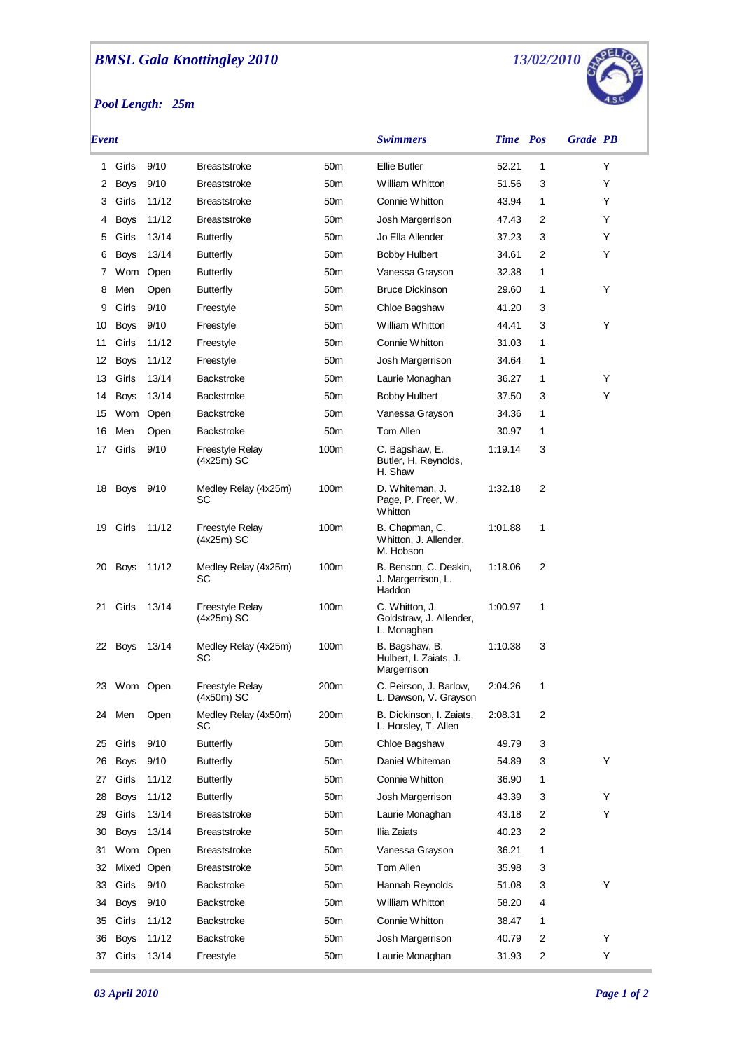## *BMSL Gala Knottingley 2010*

*Pool Length: 25m*



| Event |             |            |                                        |                 | <b>Swimmers</b>                                          | <b>Time</b> Pos |   | <b>Grade PB</b> |
|-------|-------------|------------|----------------------------------------|-----------------|----------------------------------------------------------|-----------------|---|-----------------|
| 1     | Girls       | 9/10       | <b>Breaststroke</b>                    | 50 <sub>m</sub> | Ellie Butler                                             | 52.21           | 1 | Y               |
| 2     | <b>Boys</b> | 9/10       | <b>Breaststroke</b>                    | 50 <sub>m</sub> | William Whitton                                          | 51.56           | 3 | Y               |
| 3     | Girls       | 11/12      | <b>Breaststroke</b>                    | 50 <sub>m</sub> | Connie Whitton                                           | 43.94           | 1 | Y               |
| 4     | <b>Boys</b> | 11/12      | <b>Breaststroke</b>                    | 50 <sub>m</sub> | Josh Margerrison                                         | 47.43           | 2 | Y               |
| 5     | Girls       | 13/14      | <b>Butterfly</b>                       | 50 <sub>m</sub> | Jo Ella Allender                                         | 37.23           | 3 | Y               |
| 6     | <b>Boys</b> | 13/14      | <b>Butterfly</b>                       | 50 <sub>m</sub> | <b>Bobby Hulbert</b>                                     | 34.61           | 2 | Y               |
| 7     | Wom         | Open       | <b>Butterfly</b>                       | 50 <sub>m</sub> | Vanessa Grayson                                          | 32.38           | 1 |                 |
| 8     | Men         | Open       | Butterfly                              | 50 <sub>m</sub> | <b>Bruce Dickinson</b>                                   | 29.60           | 1 | Y               |
| 9     | Girls       | 9/10       | Freestyle                              | 50 <sub>m</sub> | Chloe Bagshaw                                            | 41.20           | 3 |                 |
| 10    | <b>Boys</b> | 9/10       | Freestyle                              | 50 <sub>m</sub> | William Whitton                                          | 44.41           | 3 | Y               |
| 11    | Girls       | 11/12      | Freestyle                              | 50 <sub>m</sub> | Connie Whitton                                           | 31.03           | 1 |                 |
| 12    | <b>Boys</b> | 11/12      | Freestyle                              | 50 <sub>m</sub> | Josh Margerrison                                         | 34.64           | 1 |                 |
| 13    | Girls       | 13/14      | <b>Backstroke</b>                      | 50 <sub>m</sub> | Laurie Monaghan                                          | 36.27           | 1 | Y               |
| 14    | <b>Boys</b> | 13/14      | <b>Backstroke</b>                      | 50 <sub>m</sub> | <b>Bobby Hulbert</b>                                     | 37.50           | 3 | Y               |
| 15    | Wom Open    |            | <b>Backstroke</b>                      | 50 <sub>m</sub> | Vanessa Grayson                                          | 34.36           | 1 |                 |
| 16    | Men         | Open       | <b>Backstroke</b>                      | 50 <sub>m</sub> | Tom Allen                                                | 30.97           | 1 |                 |
| 17    | Girls       | 9/10       | <b>Freestyle Relay</b><br>$(4x25m)$ SC | 100m            | C. Bagshaw, E.<br>Butler, H. Reynolds,<br>H. Shaw        | 1:19.14         | 3 |                 |
| 18    | Boys        | 9/10       | Medley Relay (4x25m)<br>SC             | 100m            | D. Whiteman, J.<br>Page, P. Freer, W.<br>Whitton         | 1:32.18         | 2 |                 |
| 19    | Girls       | 11/12      | Freestyle Relay<br>(4x25m) SC          | 100m            | B. Chapman, C.<br>Whitton, J. Allender,<br>M. Hobson     | 1:01.88         | 1 |                 |
| 20    | <b>Boys</b> | 11/12      | Medley Relay (4x25m)<br>SC             | 100m            | B. Benson, C. Deakin,<br>J. Margerrison, L.<br>Haddon    | 1:18.06         | 2 |                 |
| 21    | Girls       | 13/14      | Freestyle Relay<br>$(4x25m)$ SC        | 100m            | C. Whitton, J.<br>Goldstraw, J. Allender,<br>L. Monaghan | 1:00.97         | 1 |                 |
|       | 22 Boys     | 13/14      | Medley Relay (4x25m)<br>SC             | 100m            | B. Bagshaw, B.<br>Hulbert, I. Zaiats, J.<br>Margerrison  | 1:10.38         | 3 |                 |
| 23    | Wom Open    |            | Freestyle Relay<br>(4x50m) SC          | 200m            | C. Peirson, J. Barlow,<br>L. Dawson, V. Grayson          | 2:04.26         | 1 |                 |
| 24    | Men         | Open       | Medley Relay (4x50m)<br>SC             | 200m            | B. Dickinson, I. Zaiats,<br>L. Horsley, T. Allen         | 2:08.31         | 2 |                 |
| 25    | Girls       | 9/10       | <b>Butterfly</b>                       | 50 <sub>m</sub> | Chloe Bagshaw                                            | 49.79           | 3 |                 |
| 26    | <b>Boys</b> | 9/10       | <b>Butterfly</b>                       | 50 <sub>m</sub> | Daniel Whiteman                                          | 54.89           | 3 | Y               |
| 27    | Girls       | 11/12      | <b>Butterfly</b>                       | 50 <sub>m</sub> | Connie Whitton                                           | 36.90           | 1 |                 |
| 28    | <b>Boys</b> | 11/12      | <b>Butterfly</b>                       | 50 <sub>m</sub> | Josh Margerrison                                         | 43.39           | 3 | Y               |
| 29    | Girls       | 13/14      | <b>Breaststroke</b>                    | 50 <sub>m</sub> | Laurie Monaghan                                          | 43.18           | 2 | Y               |
| 30    | <b>Boys</b> | 13/14      | <b>Breaststroke</b>                    | 50 <sub>m</sub> | Ilia Zaiats                                              | 40.23           | 2 |                 |
| 31    | Wom         | Open       | <b>Breaststroke</b>                    | 50 <sub>m</sub> | Vanessa Grayson                                          | 36.21           | 1 |                 |
| 32    |             | Mixed Open | <b>Breaststroke</b>                    | 50 <sub>m</sub> | Tom Allen                                                | 35.98           | 3 |                 |
| 33    | Girls       | 9/10       | <b>Backstroke</b>                      | 50 <sub>m</sub> | Hannah Reynolds                                          | 51.08           | 3 | Y               |
| 34    | <b>Boys</b> | 9/10       | <b>Backstroke</b>                      | 50 <sub>m</sub> | William Whitton                                          | 58.20           | 4 |                 |
| 35    | Girls       | 11/12      | <b>Backstroke</b>                      | 50 <sub>m</sub> | Connie Whitton                                           | 38.47           | 1 |                 |
| 36    | <b>Boys</b> | 11/12      | <b>Backstroke</b>                      | 50 <sub>m</sub> | Josh Margerrison                                         | 40.79           | 2 | Υ               |
| 37    | Girls       | 13/14      | Freestyle                              | 50m             | Laurie Monaghan                                          | 31.93           | 2 | Y               |